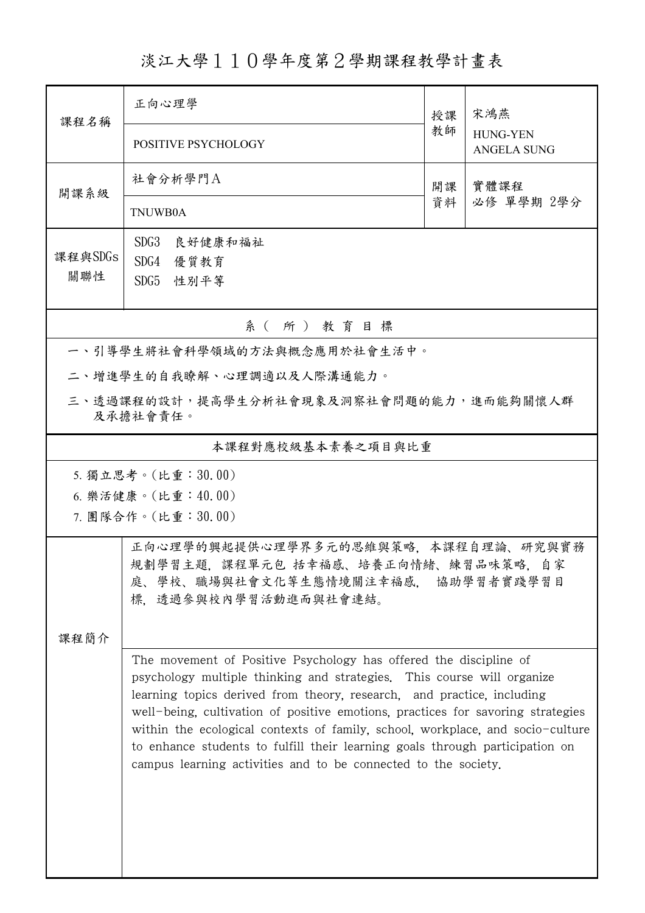## 淡江大學110學年度第2學期課程教學計畫表

| 課程名稱                                                | 正向心理學                                                                                                                                                                                                                                                                                                                                                                                                                                                                                                                                        | 授課 | 宋鴻燕                                   |  |  |  |  |
|-----------------------------------------------------|----------------------------------------------------------------------------------------------------------------------------------------------------------------------------------------------------------------------------------------------------------------------------------------------------------------------------------------------------------------------------------------------------------------------------------------------------------------------------------------------------------------------------------------------|----|---------------------------------------|--|--|--|--|
|                                                     | POSITIVE PSYCHOLOGY                                                                                                                                                                                                                                                                                                                                                                                                                                                                                                                          |    | <b>HUNG-YEN</b><br><b>ANGELA SUNG</b> |  |  |  |  |
| 開課系級                                                | 社會分析學門A                                                                                                                                                                                                                                                                                                                                                                                                                                                                                                                                      | 開課 | 實體課程<br>必修 單學期 2學分                    |  |  |  |  |
|                                                     | TNUWB0A                                                                                                                                                                                                                                                                                                                                                                                                                                                                                                                                      | 資料 |                                       |  |  |  |  |
| 課程與SDGs                                             | SDG3<br>良好健康和福祉                                                                                                                                                                                                                                                                                                                                                                                                                                                                                                                              |    |                                       |  |  |  |  |
| 關聯性                                                 | SDG4<br>優質教育<br>SDG5<br>性別平等                                                                                                                                                                                                                                                                                                                                                                                                                                                                                                                 |    |                                       |  |  |  |  |
| 系(所)教育目標                                            |                                                                                                                                                                                                                                                                                                                                                                                                                                                                                                                                              |    |                                       |  |  |  |  |
| 一、引導學生將社會科學領域的方法與概念應用於社會生活中。                        |                                                                                                                                                                                                                                                                                                                                                                                                                                                                                                                                              |    |                                       |  |  |  |  |
|                                                     | 二、增進學生的自我瞭解、心理調適以及人際溝通能力。                                                                                                                                                                                                                                                                                                                                                                                                                                                                                                                    |    |                                       |  |  |  |  |
| 三、透過課程的設計,提高學生分析社會現象及洞察社會問題的能力,進而能夠關懷人群<br>及承擔社會責任。 |                                                                                                                                                                                                                                                                                                                                                                                                                                                                                                                                              |    |                                       |  |  |  |  |
| 本課程對應校級基本素養之項目與比重                                   |                                                                                                                                                                                                                                                                                                                                                                                                                                                                                                                                              |    |                                       |  |  |  |  |
| 5. 獨立思考。(比重:30.00)                                  |                                                                                                                                                                                                                                                                                                                                                                                                                                                                                                                                              |    |                                       |  |  |  |  |
|                                                     | 6. 樂活健康。(比重:40.00)                                                                                                                                                                                                                                                                                                                                                                                                                                                                                                                           |    |                                       |  |  |  |  |
| 7. 團隊合作。(比重:30.00)                                  |                                                                                                                                                                                                                                                                                                                                                                                                                                                                                                                                              |    |                                       |  |  |  |  |
|                                                     | 正向心理學的興起提供心理學界多元的思維與策略,本課程自理論、研究與實務<br>規劃學習主題,課程單元包 括幸福感、培養正向情緒、練習品味策略,<br>自家<br>庭、學校、職場與社會文化等生態情境關注幸福感, 協助學習者實踐學習目<br>標. 透過參與校內學習活動進而與社會連結。                                                                                                                                                                                                                                                                                                                                                                                                 |    |                                       |  |  |  |  |
| 课程简介                                                |                                                                                                                                                                                                                                                                                                                                                                                                                                                                                                                                              |    |                                       |  |  |  |  |
|                                                     | The movement of Positive Psychology has offered the discipline of<br>psychology multiple thinking and strategies. This course will organize<br>learning topics derived from theory, research, and practice, including<br>well-being, cultivation of positive emotions, practices for savoring strategies<br>within the ecological contexts of family, school, workplace, and socio-culture<br>to enhance students to fulfill their learning goals through participation on<br>campus learning activities and to be connected to the society. |    |                                       |  |  |  |  |
|                                                     |                                                                                                                                                                                                                                                                                                                                                                                                                                                                                                                                              |    |                                       |  |  |  |  |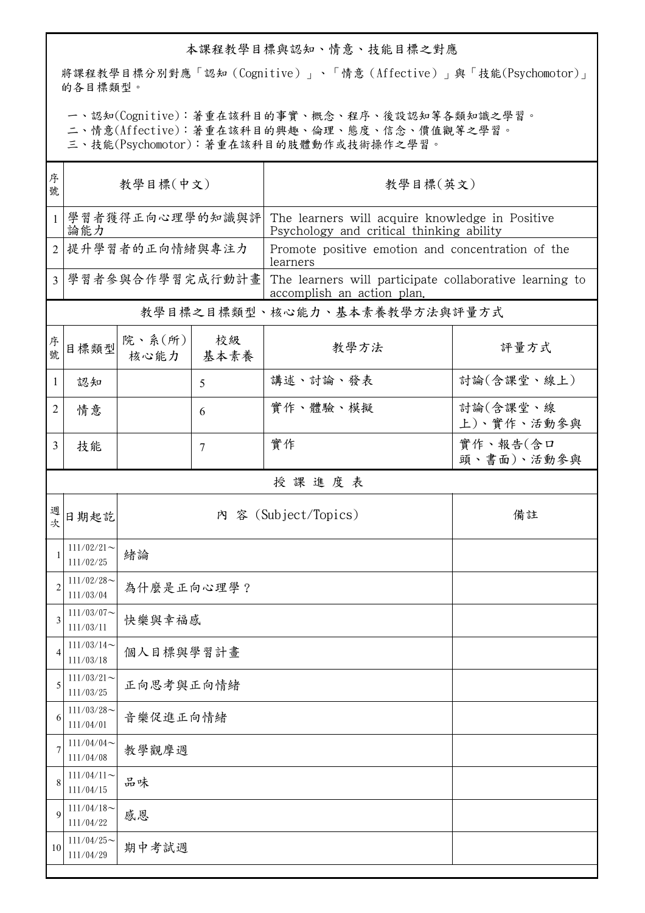## 本課程教學目標與認知、情意、技能目標之對應

將課程教學目標分別對應「認知(Cognitive)」、「情意(Affective)」與「技能(Psychomotor)」 的各目標類型。

一、認知(Cognitive):著重在該科目的事實、概念、程序、後設認知等各類知識之學習。

二、情意(Affective):著重在該科目的興趣、倫理、態度、信念、價值觀等之學習。

三、技能(Psychomotor):著重在該科目的肢體動作或技術操作之學習。

| 序<br>號                       | 教學目標(中文)                   |                              |            | 教學目標(英文)                                                                                    |                        |  |  |
|------------------------------|----------------------------|------------------------------|------------|---------------------------------------------------------------------------------------------|------------------------|--|--|
| $\mathbf{1}$                 | 學習者獲得正向心理學的知識與評<br>論能力     |                              |            | The learners will acquire knowledge in Positive<br>Psychology and critical thinking ability |                        |  |  |
| $\overline{2}$               | 提升學習者的正向情緒與專注力             |                              |            | Promote positive emotion and concentration of the<br>learners                               |                        |  |  |
| $\overline{3}$               | 學習者參與合作學習完成行動計畫            |                              |            | The learners will participate collaborative learning to<br>accomplish an action plan.       |                        |  |  |
| 教學目標之目標類型、核心能力、基本素養教學方法與評量方式 |                            |                              |            |                                                                                             |                        |  |  |
| 序號                           | 目標類型                       | 院、系 $(\hbox{\tt m})$<br>核心能力 | 校級<br>基本素養 | 教學方法                                                                                        | 評量方式                   |  |  |
| 1                            | 認知                         |                              | 5          | 講述、討論、發表                                                                                    | 討論(含課堂、線上)             |  |  |
| $\overline{2}$               | 情意                         |                              | 6          | 實作、體驗、模擬                                                                                    | 討論(含課堂、線<br>上)、實作、活動參與 |  |  |
| 3                            | 技能                         |                              | 7          | 實作                                                                                          | 實作、報告(含口<br>頭、書面)、活動參與 |  |  |
|                              | 授課進度表                      |                              |            |                                                                                             |                        |  |  |
| 週次                           | 日期起訖                       |                              |            | 內 容 (Subject/Topics)                                                                        | 備註                     |  |  |
| 1                            | $111/02/21$ ~<br>111/02/25 | 緒論                           |            |                                                                                             |                        |  |  |
| $\overline{2}$               | $111/02/28$ ~<br>111/03/04 | 為什麼是正向心理學?                   |            |                                                                                             |                        |  |  |
| 3                            | $111/03/07$ ~<br>111/03/11 | 快樂與幸福感                       |            |                                                                                             |                        |  |  |
| 4                            | $111/03/14$ ~<br>111/03/18 | 個人目標與學習計畫                    |            |                                                                                             |                        |  |  |
| 5                            | $111/03/21$ ~<br>111/03/25 | 正向思考與正向情緒                    |            |                                                                                             |                        |  |  |
| 6                            | $111/03/28$ ~<br>111/04/01 | 音樂促進正向情緒                     |            |                                                                                             |                        |  |  |
| 7                            | $111/04/04$ ~<br>111/04/08 | 教學觀摩週                        |            |                                                                                             |                        |  |  |
| 8                            | $111/04/11$ ~<br>111/04/15 | 品味                           |            |                                                                                             |                        |  |  |
| 9                            | $111/04/18$ ~<br>111/04/22 | 感恩                           |            |                                                                                             |                        |  |  |
| 10                           | $111/04/25$ ~<br>111/04/29 | 期中考試週                        |            |                                                                                             |                        |  |  |